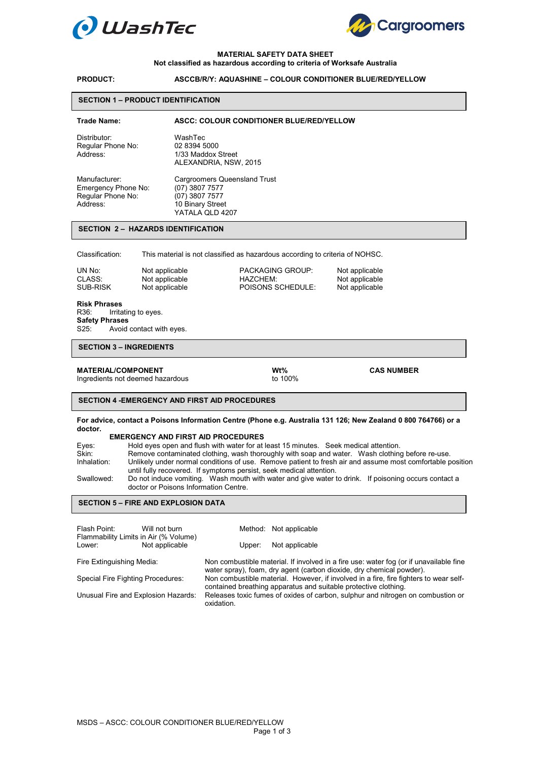



### **MATERIAL SAFETY DATA SHEET**

#### **Not classified as hazardous according to criteria of Worksafe Australia**

# **PRODUCT: ASCCB/R/Y: AQUASHINE – COLOUR CONDITIONER BLUE/RED/YELLOW**

#### **SECTION 1 – PRODUCT IDENTIFICATION**

# **Trade Name: ASCC: COLOUR CONDITIONER BLUE/RED/YELLOW**  Distributor: WashTec<br>Regular Phone No: 02 8394 5000 Regular Phone No:<br>Address: 1/33 Maddox Street ALEXANDRIA, NSW, 2015 Manufacturer: Cargroomers Queensland Trust<br>Emergency Phone No: (07) 3807 7577 Emergency Phone No: (07) 3807 7577<br>Regular Phone No: (07) 3807 7577 Regular Phone No:<br>Address: 10 Binary Street YATALA QLD 4207

#### **SECTION 2 – HAZARDS IDENTIFICATION**

Classification: This material is not classified as hazardous according to criteria of NOHSC.

| UN No:   | Not applicable | <b>PACKAGING GROUP:</b> | Not applicable |
|----------|----------------|-------------------------|----------------|
| CLASS:   | Not applicable | HAZCHEM:                | Not applicable |
| SUB-RISK | Not applicable | POISONS SCHEDULE:       | Not applicable |

# **Risk Phrases**

Irritating to eyes. **Safety Phrases**  S25: Avoid contact with eyes.

#### **SECTION 3 – INGREDIENTS**

**MATERIAL/COMPONENT**<br>
Ingredients not deemed hazardous<br>
to 100%<br>
to 100% Ingredients not deemed hazardous

**SECTION 4 -EMERGENCY AND FIRST AID PROCEDURES** 

**For advice, contact a Poisons Information Centre (Phone e.g. Australia 131 126; New Zealand 0 800 764766) or a doctor.** 

#### **EMERGENCY AND FIRST AID PROCEDURES**

| Eyes:       | Hold eyes open and flush with water for at least 15 minutes. Seek medical attention.                                                          |
|-------------|-----------------------------------------------------------------------------------------------------------------------------------------------|
| Skin:       | Remove contaminated clothing, wash thoroughly with soap and water. Wash clothing before re-use.                                               |
| Inhalation: | Unlikely under normal conditions of use. Remove patient to fresh air and assume most comfortable position                                     |
|             | until fully recovered. If symptoms persist, seek medical attention.                                                                           |
| Swallowed:  | Do not induce vomiting. Wash mouth with water and give water to drink. If poisoning occurs contact a<br>doctor or Poisons Information Centre. |
|             |                                                                                                                                               |

#### j **SECTION 5 – FIRE AND EXPLOSION DATA**

| Flash Point:<br>Flammability Limits in Air (% Volume)<br>Lower: | Will not burn<br>Not applicable |                                                                                                                                                          | Method: Not applicable                                                                                                                                         |  |
|-----------------------------------------------------------------|---------------------------------|----------------------------------------------------------------------------------------------------------------------------------------------------------|----------------------------------------------------------------------------------------------------------------------------------------------------------------|--|
|                                                                 |                                 | Upper:                                                                                                                                                   | Not applicable                                                                                                                                                 |  |
| Fire Extinguishing Media:                                       |                                 |                                                                                                                                                          | Non combustible material. If involved in a fire use: water fog (or if unavailable fine<br>water spray), foam, dry agent (carbon dioxide, dry chemical powder). |  |
| Special Fire Fighting Procedures:                               |                                 | Non combustible material. However, if involved in a fire, fire fighters to wear self-<br>contained breathing apparatus and suitable protective clothing. |                                                                                                                                                                |  |
| Unusual Fire and Explosion Hazards:                             |                                 | Releases toxic fumes of oxides of carbon, sulphur and nitrogen on combustion or<br>oxidation.                                                            |                                                                                                                                                                |  |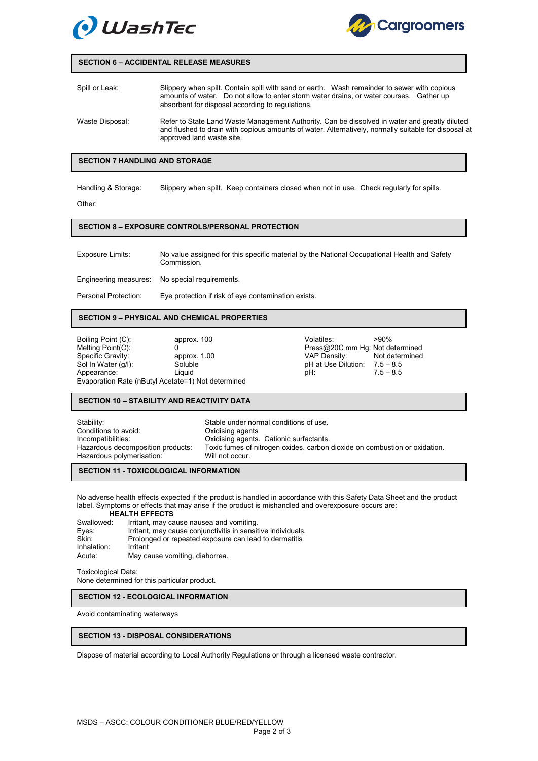



#### **SECTION 6 – ACCIDENTAL RELEASE MEASURES**

| Spill or Leak:  | Slippery when spilt. Contain spill with sand or earth. Wash remainder to sewer with copious<br>amounts of water. Do not allow to enter storm water drains, or water courses. Gather up<br>absorbent for disposal according to regulations. |
|-----------------|--------------------------------------------------------------------------------------------------------------------------------------------------------------------------------------------------------------------------------------------|
| Waste Disposal: | Refer to State Land Waste Management Authority. Can be dissolved in water and greatly diluted<br>and flushed to drain with copious amounts of water. Alternatively, normally suitable for disposal at                                      |

# **SECTION 7 HANDLING AND STORAGE**

Handling & Storage: Slippery when spilt. Keep containers closed when not in use. Check regularly for spills.

Other:

#### **SECTION 8 – EXPOSURE CONTROLS/PERSONAL PROTECTION**

approved land waste site.

Exposure Limits: No value assigned for this specific material by the National Occupational Health and Safety Commission. Engineering measures: No special requirements.

Personal Protection: Eye protection if risk of eye contamination exists.

# **SECTION 9 – PHYSICAL AND CHEMICAL PROPERTIES**

Boiling Point (C): <br>
Melting Point (C): 
approx. 100<br>
Melting Point (C): 
0 0<br>
Mercus Press@20C mm Hg: Not determined<br>
Mercus Point (C): Not determined<br>
VAP Density: Not determined Specific Gravity: **All approx.** 1.00 **VAP Density:** Not determined Sol In Water (g/l): Soluble Soluble pH at Use Dilution: 7.5 – 8.5<br>Appearance: 1.5 – 8.5 Liquid Claudian Liquid pH: 7.5 – 8.5 Appearance: Evaporation Rate (nButyl Acetate=1) Not determined

#### **SECTION 10 – STABILITY AND REACTIVITY DATA**

Stability: Stable under normal conditions of use. Conditions to avoid: Conditions to avoid:<br>
Incompatibilities: Conditions of Oxidising agents Incompatibilities: Oxidising agents. Cationic surfactants.<br>Hazardous decomposition products: Toxic fumes of nitrogen oxides, carbon Toxic fumes of nitrogen oxides, carbon dioxide on combustion or oxidation. Hazardous polymerisation: Will not occur.

### **SECTION 11 - TOXICOLOGICAL INFORMATION**

No adverse health effects expected if the product is handled in accordance with this Safety Data Sheet and the product label. Symptoms or effects that may arise if the product is mishandled and overexposure occurs are: **HEALTH EFFECTS** 

| Swallowed:  | Irritant, may cause nausea and vomiting.                     |
|-------------|--------------------------------------------------------------|
| Eyes:       | Irritant, may cause conjunctivitis in sensitive individuals. |
| Skin:       | Prolonged or repeated exposure can lead to dermatitis        |
| Inhalation: | Irritant                                                     |
| Acute:      | May cause vomiting, diahorrea.                               |
|             |                                                              |

Toxicological Data: None determined for this particular product.

# **SECTION 12 - ECOLOGICAL INFORMATION**

Avoid contaminating waterways

# **SECTION 13 - DISPOSAL CONSIDERATIONS**

Dispose of material according to Local Authority Regulations or through a licensed waste contractor.